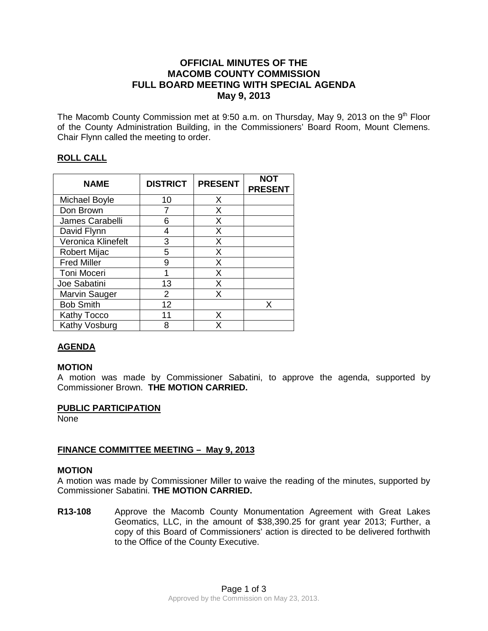# **OFFICIAL MINUTES OF THE MACOMB COUNTY COMMISSION FULL BOARD MEETING WITH SPECIAL AGENDA May 9, 2013**

The Macomb County Commission met at 9:50 a.m. on Thursday, May 9, 2013 on the  $9<sup>th</sup>$  Floor of the County Administration Building, in the Commissioners' Board Room, Mount Clemens. Chair Flynn called the meeting to order.

# **ROLL CALL**

| <b>NAME</b>        | <b>DISTRICT</b> | <b>PRESENT</b> | <b>NOT</b><br><b>PRESENT</b> |
|--------------------|-----------------|----------------|------------------------------|
| Michael Boyle      | 10              | X              |                              |
| Don Brown          |                 | X              |                              |
| James Carabelli    | 6               | X              |                              |
| David Flynn        | 4               | X              |                              |
| Veronica Klinefelt | 3               | X              |                              |
| Robert Mijac       | 5               | X              |                              |
| <b>Fred Miller</b> | 9               | X              |                              |
| Toni Moceri        | 1               | X              |                              |
| Joe Sabatini       | 13              | X              |                              |
| Marvin Sauger      | 2               | X              |                              |
| <b>Bob Smith</b>   | 12              |                | x                            |
| <b>Kathy Tocco</b> | 11              | x              |                              |
| Kathy Vosburg      | 8               |                |                              |

# **AGENDA**

# **MOTION**

A motion was made by Commissioner Sabatini, to approve the agenda, supported by Commissioner Brown. **THE MOTION CARRIED.** 

### **PUBLIC PARTICIPATION**

None

# **FINANCE COMMITTEE MEETING – May 9, 2013**

### **MOTION**

A motion was made by Commissioner Miller to waive the reading of the minutes, supported by Commissioner Sabatini. **THE MOTION CARRIED.**

**R13-108** Approve the Macomb County Monumentation Agreement with Great Lakes Geomatics, LLC, in the amount of \$38,390.25 for grant year 2013; Further, a copy of this Board of Commissioners' action is directed to be delivered forthwith to the Office of the County Executive.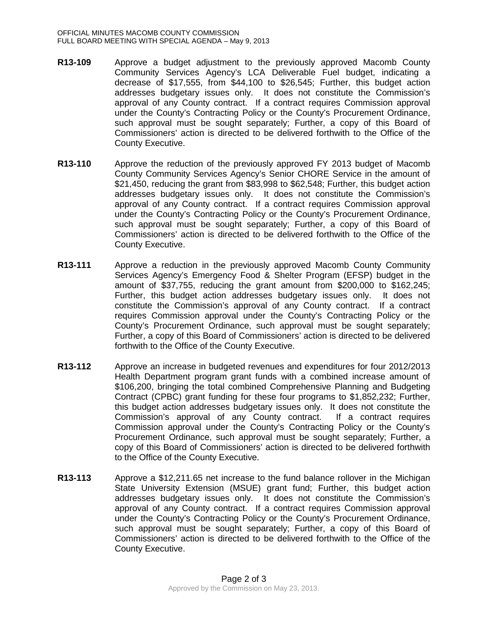- **R13-109** Approve a budget adjustment to the previously approved Macomb County Community Services Agency's LCA Deliverable Fuel budget, indicating a decrease of \$17,555, from \$44,100 to \$26,545; Further, this budget action addresses budgetary issues only. It does not constitute the Commission's approval of any County contract. If a contract requires Commission approval under the County's Contracting Policy or the County's Procurement Ordinance, such approval must be sought separately; Further, a copy of this Board of Commissioners' action is directed to be delivered forthwith to the Office of the County Executive.
- **R13-110** Approve the reduction of the previously approved FY 2013 budget of Macomb County Community Services Agency's Senior CHORE Service in the amount of \$21,450, reducing the grant from \$83,998 to \$62,548; Further, this budget action addresses budgetary issues only. It does not constitute the Commission's approval of any County contract. If a contract requires Commission approval under the County's Contracting Policy or the County's Procurement Ordinance, such approval must be sought separately; Further, a copy of this Board of Commissioners' action is directed to be delivered forthwith to the Office of the County Executive.
- **R13-111** Approve a reduction in the previously approved Macomb County Community Services Agency's Emergency Food & Shelter Program (EFSP) budget in the amount of \$37,755, reducing the grant amount from \$200,000 to \$162,245; Further, this budget action addresses budgetary issues only. It does not constitute the Commission's approval of any County contract. If a contract requires Commission approval under the County's Contracting Policy or the County's Procurement Ordinance, such approval must be sought separately; Further, a copy of this Board of Commissioners' action is directed to be delivered forthwith to the Office of the County Executive.
- **R13-112** Approve an increase in budgeted revenues and expenditures for four 2012/2013 Health Department program grant funds with a combined increase amount of \$106,200, bringing the total combined Comprehensive Planning and Budgeting Contract (CPBC) grant funding for these four programs to \$1,852,232; Further, this budget action addresses budgetary issues only. It does not constitute the Commission's approval of any County contract. If a contract requires Commission approval under the County's Contracting Policy or the County's Procurement Ordinance, such approval must be sought separately; Further, a copy of this Board of Commissioners' action is directed to be delivered forthwith to the Office of the County Executive.
- **R13-113** Approve a \$12,211.65 net increase to the fund balance rollover in the Michigan State University Extension (MSUE) grant fund; Further, this budget action addresses budgetary issues only. It does not constitute the Commission's approval of any County contract. If a contract requires Commission approval under the County's Contracting Policy or the County's Procurement Ordinance, such approval must be sought separately; Further, a copy of this Board of Commissioners' action is directed to be delivered forthwith to the Office of the County Executive.